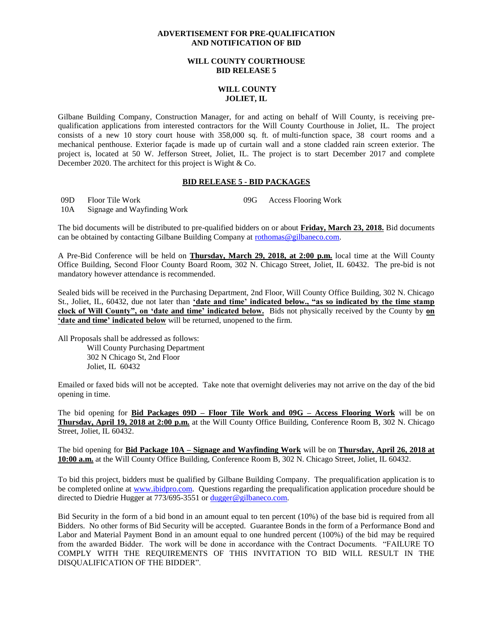## **ADVERTISEMENT FOR PRE-QUALIFICATION AND NOTIFICATION OF BID**

## **WILL COUNTY COURTHOUSE BID RELEASE 5**

## **WILL COUNTY JOLIET, IL**

Gilbane Building Company, Construction Manager, for and acting on behalf of Will County, is receiving prequalification applications from interested contractors for the Will County Courthouse in Joliet, IL. The project consists of a new 10 story court house with 358,000 sq. ft. of multi-function space, 38 court rooms and a mechanical penthouse. Exterior façade is made up of curtain wall and a stone cladded rain screen exterior. The project is, located at 50 W. Jefferson Street, Joliet, IL. The project is to start December 2017 and complete December 2020. The architect for this project is Wight & Co.

## **BID RELEASE 5 - BID PACKAGES**

09D Floor Tile Work 09G Access Flooring Work

10A Signage and Wayfinding Work

The bid documents will be distributed to pre-qualified bidders on or about **Friday, March 23, 2018.** Bid documents can be obtained by contacting Gilbane Building Company at [rothomas@gilbaneco.com.](mailto:rothomas@gilbaneco.com)

A Pre-Bid Conference will be held on **Thursday, March 29, 2018, at 2:00 p.m.** local time at the Will County Office Building, Second Floor County Board Room, 302 N. Chicago Street, Joliet, IL 60432. The pre-bid is not mandatory however attendance is recommended.

Sealed bids will be received in the Purchasing Department, 2nd Floor, Will County Office Building, 302 N. Chicago St., Joliet, IL, 60432, due not later than **'date and time' indicated below., "as so indicated by the time stamp clock of Will County", on 'date and time' indicated below.** Bids not physically received by the County by **on 'date and time' indicated below** will be returned, unopened to the firm.

All Proposals shall be addressed as follows: Will County Purchasing Department 302 N Chicago St, 2nd Floor Joliet, IL 60432

Emailed or faxed bids will not be accepted. Take note that overnight deliveries may not arrive on the day of the bid opening in time.

The bid opening for **Bid Packages 09D – Floor Tile Work and 09G – Access Flooring Work** will be on **Thursday, April 19, 2018 at 2:00 p.m.** at the Will County Office Building, Conference Room B, 302 N. Chicago Street, Joliet, IL 60432.

The bid opening for **Bid Package 10A – Signage and Wayfinding Work** will be on **Thursday, April 26, 2018 at 10:00 a.m.** at the Will County Office Building, Conference Room B, 302 N. Chicago Street, Joliet, IL 60432.

To bid this project, bidders must be qualified by Gilbane Building Company. The prequalification application is to be completed online at [www.ibidpro.com.](http://www.ibidpro.com/) Questions regarding the prequalification application procedure should be directed to Diedrie Hugger at 773/695-3551 or [dugger@gilbaneco.com.](mailto:dugger@gilbaneco.com)

Bid Security in the form of a bid bond in an amount equal to ten percent (10%) of the base bid is required from all Bidders. No other forms of Bid Security will be accepted. Guarantee Bonds in the form of a Performance Bond and Labor and Material Payment Bond in an amount equal to one hundred percent (100%) of the bid may be required from the awarded Bidder. The work will be done in accordance with the Contract Documents. "FAILURE TO COMPLY WITH THE REQUIREMENTS OF THIS INVITATION TO BID WILL RESULT IN THE DISQUALIFICATION OF THE BIDDER".